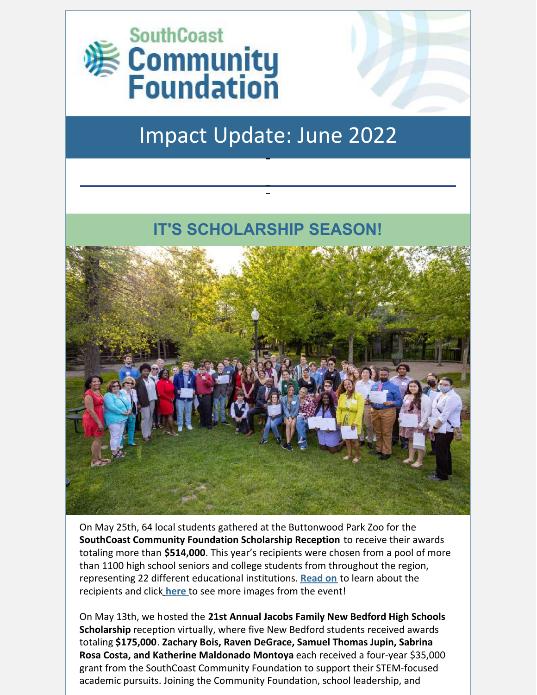

# Impact Update: June 2022

### **IT'S SCHOLARSHIP SEASON!**



On May 25th, 64 local students gathered at the Buttonwood Park Zoo for the **SouthCoast Community Foundation Scholarship Reception** to receive their awards totaling more than **\$514,000**. This year's recipients were chosen from a pool of more than 1100 high school seniors and college students from throughout the region, representing 22 different educational institutions. **[Read](https://bit.ly/3MfBl5I) on** to learn about the recipients and clic[k](https://flic.kr/s/aHBqjzSLkn) **[here](https://flic.kr/s/aHBqjzSLkn)** to see more images from the event!

On May 13th, we hosted the **21st Annual Jacobs Family New Bedford High Schools Scholarship** reception virtually, where five New Bedford students received awards totaling **\$175,000**. **Zachary Bois, Raven DeGrace, Samuel Thomas Jupin, Sabrina Rosa Costa, and Katherine Maldonado Montoya** each received a four-year \$35,000 grant from the SouthCoast Community Foundation to support their STEM-focused academic pursuits. Joining the Community Foundation, school leadership, and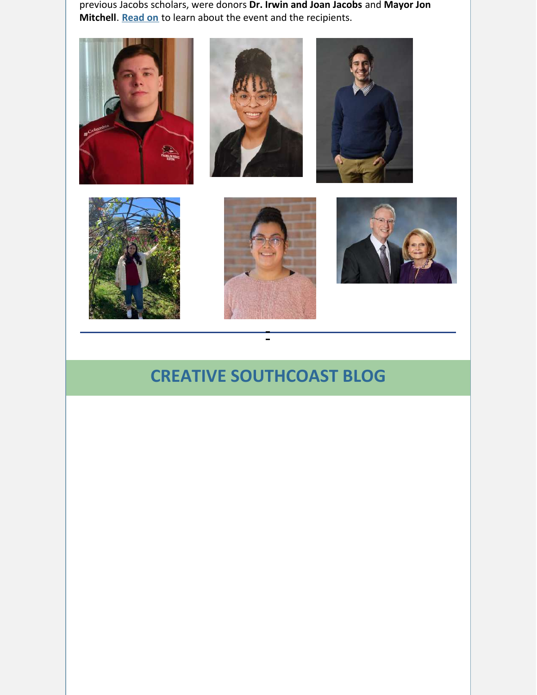previous Jacobs scholars, were donors **Dr. Irwin and Joan Jacobs** and **Mayor Jon Mitchell**. **[Read](https://bit.ly/3lAla7Y) on** to learn about the event and the recipients.













## **CREATIVE SOUTHCOAST BLOG**

 $\frac{1}{2}$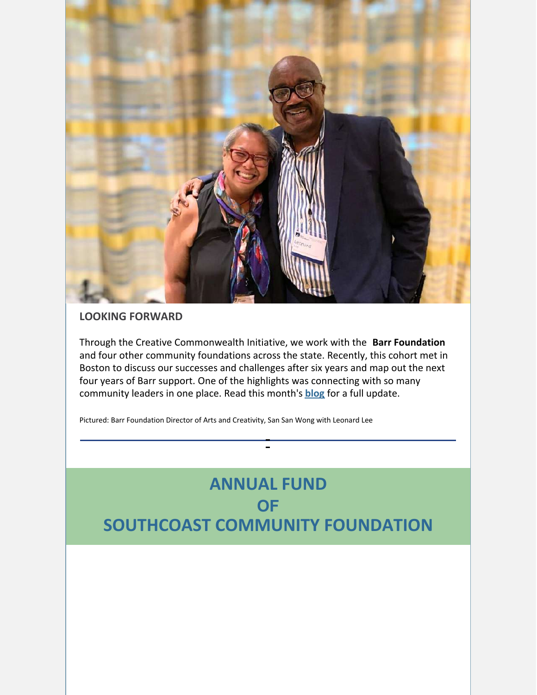

#### **LOOKING FORWARD**

Through the Creative Commonwealth Initiative, we work with the **Barr Foundation** and four other community foundations across the state. Recently, this cohort met in Boston to discuss our successes and challenges after six years and map out the next four years of Barr support. One of the highlights was connecting with so many community leaders in one place. Read this month's **[blog](https://bit.ly/3GNdMjA)** for a full update.

Pictured: Barr Foundation Director of Arts and Creativity, San San Wong with Leonard Lee

# **ANNUAL FUND OF SOUTHCOAST COMMUNITY FOUNDATION**

 $\sim$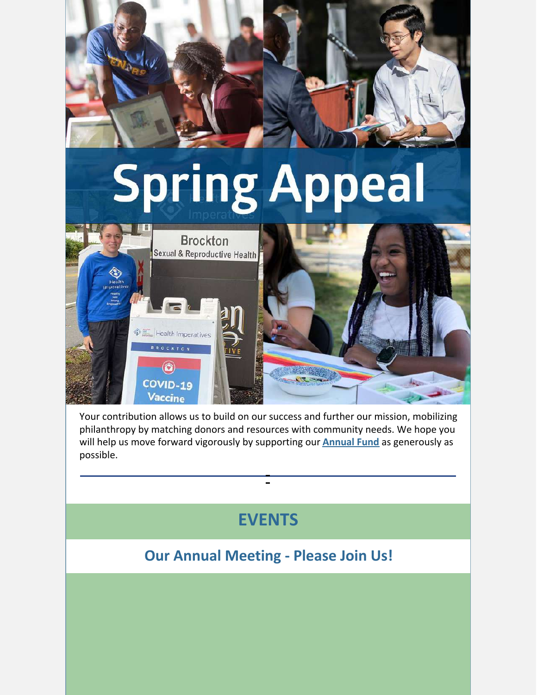

Your contribution allows us to build on our success and further our mission, mobilizing philanthropy by matching donors and resources with community needs. We hope you will help us move forward vigorously by supporting our **[Annual](https://bit.ly/3Lybl5R) Fund** as generously as possible.

# **EVENTS**

### **Our Annual Meeting - Please Join Us!**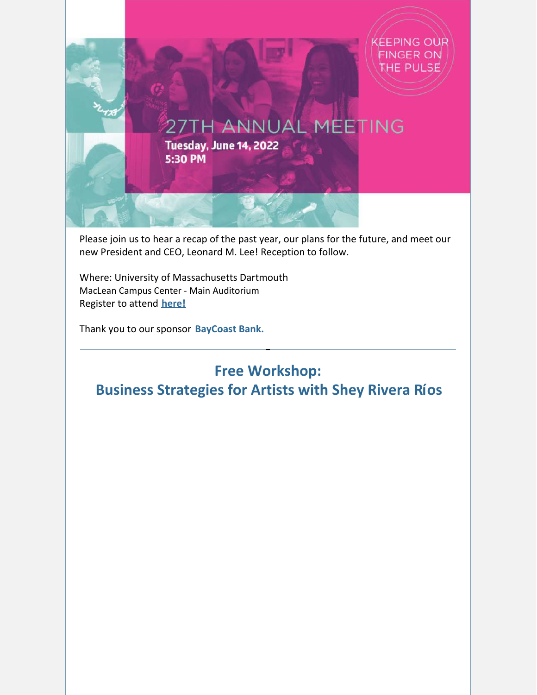

Please join us to hear a recap of the past year, our plans for the future, and meet our new President and CEO, Leonard M. Lee! Reception to follow.

Where: University of Massachusetts Dartmouth MacLean Campus Center - Main Auditorium Register to attend **[here!](https://secure.givelively.org/event/community-foundation-of-southeastern-massachusetts-inc/southcoast-community-foundation-27th-annual-meeting)**

Thank you to our sponsor **BayCoast Bank.**

### **Free Workshop: Business Strategies for Artists with Shey Rivera Ríos**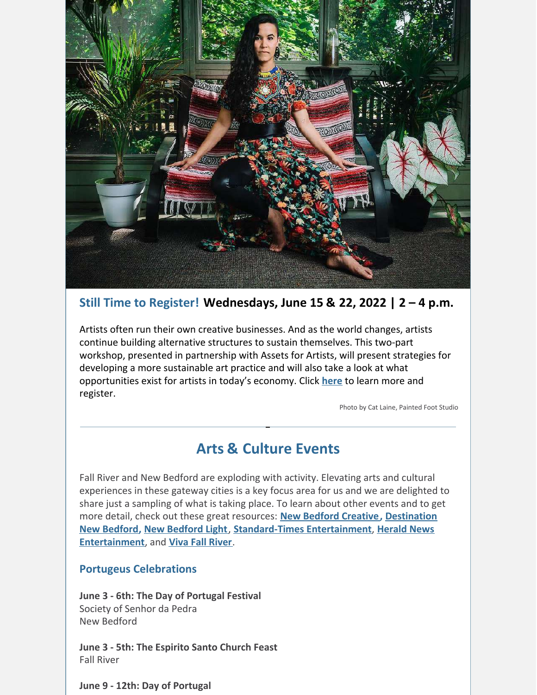

#### **Still Time to Register! Wednesdays, June 15 & 22, 2022 | 2 – 4 p.m.**

Artists often run their own creative businesses. And as the world changes, artists continue building alternative structures to sustain themselves. This two-part workshop, presented in partnership with Assets for Artists, will present strategies for developing a more sustainable art practice and will also take a look at what opportunities exist for artists in today's economy. Click **[here](https://bit.ly/382zgw3)** to learn more and register.

Photo by Cat Laine, Painted Foot Studio

### **Arts & Culture Events**

Fall River and New Bedford are exploding with activity. Elevating arts and cultural experiences in these gateway cities is a key focus area for us and we are delighted to share just a sampling of what is taking place. To learn about other events and to get more detail, check out these great resources: **New Bedford [Creative](https://newbedfordcreative.org/calendar-of-events/), Destination New Bedford, New [Bedford](https://newbedfordlight.org/events/) Light**, **[Standard-Times](https://destinationnewbedford.org/events/) Entertainment**, **Herald News Entertainment**, and **Viva Fall [River](https://www.vivafallriver.com/event/)**.

#### **Portugeus Celebrations**

**June 3 - 6th: The Day of Portugal Festival** Society of Senhor da Pedra New Bedford

**June 3 - 5th: The Espirito Santo Church Feast** Fall River

**June 9 - 12th: Day of Portugal**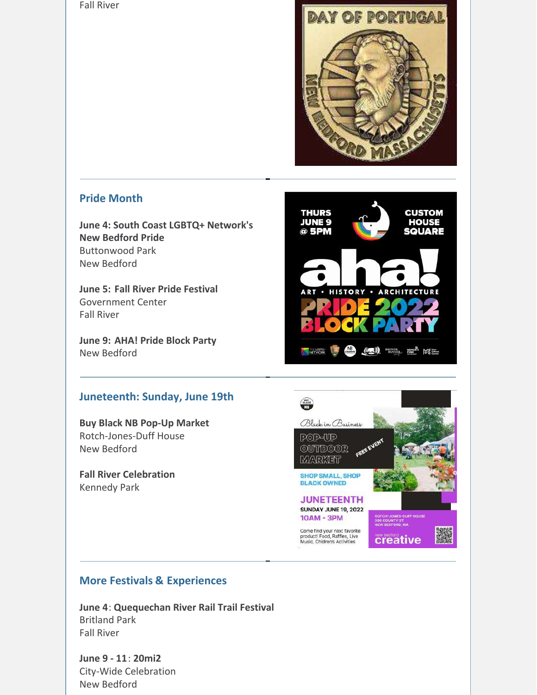Fall River



**CUSTOM** 

**HOUSE** 

**SQUARE** 

ARCHITECTURE

**THURS** 

**JUNE 9** 

 $@$  5PM

HISTORY .

#### **Pride Month**

**June 4: South Coast LGBTQ+ Network's New Bedford Pride** Buttonwood Park New Bedford

**June 5: Fall River Pride Festival** Government Center Fall River

**June 9: AHA! Pride Block Party** New Bedford

#### **Juneteenth: Sunday, June 19th**

**Buy Black NB Pop-Up Market** Rotch-Jones-Duff House New Bedford

**Fall River Celebration** Kennedy Park



KEIWORK E CHE (CE)) BEINER MONEY NO.

#### **More Festivals & Experiences**

**June 4**: **Quequechan River Rail Trail Festival** Britland Park Fall River

**June 9 - 11**: **20mi2** City-Wide Celebration New Bedford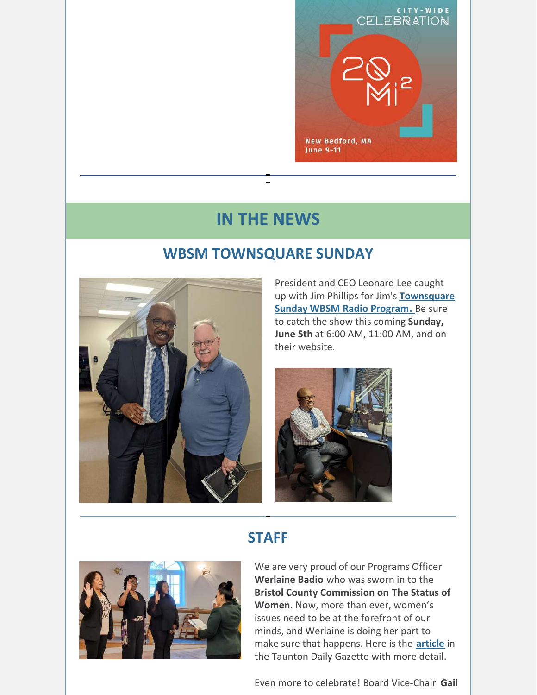

### **IN THE NEWS**

 $\mathbf{r}$ 

### **WBSM TOWNSQUARE SUNDAY**



President and CEO Leonard Lee caught up with Jim Phillips for Jim's **[Townsquare](https://wbsm.com/tags/townsquare-sunday/) Sunday WBSM Radio [Program.](https://wbsm.com/tags/townsquare-sunday/)** Be sure to catch the show this coming **Sunday, June 5th** at 6:00 AM, 11:00 AM, and on their website.



### **STAFF**



We are very proud of our Programs Officer **Werlaine Badio** who was sworn in to the **Bristol County Commission on The Status of Women**. Now, more than ever, women's issues need to be at the forefront of our minds, and Werlaine is doing her part to make sure that happens. Here is the **[article](https://www.tauntongazette.com/story/news/politics/2022/06/02/taunton-fall-river-commission-status-women-bristol-county-werlaine-badio-tanya-lobo-esther-rogers/9796771002/)** in the Taunton Daily Gazette with more detail.

Even more to celebrate! Board Vice-Chair **Gail**